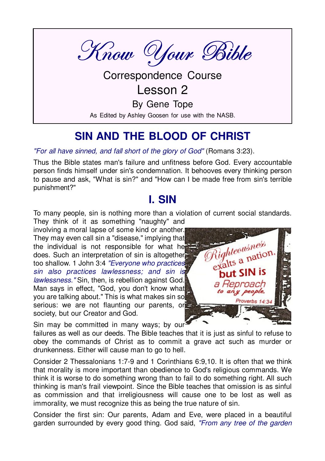

**Correspondence Course** 

Lesson 2

By Gene Tope

As Edited by Ashley Goosen for use with the NASB.

### SIN AND THE BLOOD OF CHRIST

"For all have sinned, and fall short of the glory of God" (Romans 3:23).

Thus the Bible states man's failure and unfitness before God. Every accountable person finds himself under sin's condemnation. It behooves every thinking person to pause and ask, "What is sin?" and "How can I be made free from sin's terrible punishment?"

### **L SIN**

To many people, sin is nothing more than a violation of current social standards.

They think of it as something "naughty" and involving a moral lapse of some kind or another. They may even call sin a "disease," implying that the individual is not responsible for what he does. Such an interpretation of sin is altogether too shallow. 1 John 3:4 "Everyone who practices! sin also practices lawlessness; and sin is lawlessness." Sin, then, is rebellion against God. Man says in effect, "God, you don't know what you are talking about." This is what makes sin so serious: we are not flaunting our parents, or society, but our Creator and God.



Sin may be committed in many ways; by our

failures as well as our deeds. The Bible teaches that it is just as sinful to refuse to obey the commands of Christ as to commit a grave act such as murder or drunkenness. Either will cause man to go to hell.

Consider 2 Thessalonians 1:7-9 and 1 Corinthians 6:9.10. It is often that we think that morality is more important than obedience to God's religious commands. We think it is worse to do something wrong than to fail to do something right. All such thinking is man's frail viewpoint. Since the Bible teaches that omission is as sinful as commission and that irreligiousness will cause one to be lost as well as immorality, we must recognize this as being the true nature of sin.

Consider the first sin: Our parents, Adam and Eve, were placed in a beautiful garden surrounded by every good thing. God said, "From any tree of the garden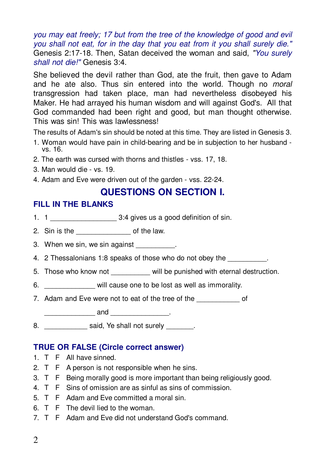you may eat freely: 17 but from the tree of the knowledge of good and evil you shall not eat, for in the day that you eat from it you shall surely die." Genesis 2:17-18. Then, Satan deceived the woman and said, "You surely shall not die!" Genesis 3:4.

She believed the devil rather than God, ate the fruit, then gave to Adam and he ate also. Thus sin entered into the world. Though no *moral* transgression had taken place, man had nevertheless disobeyed his Maker. He had arrayed his human wisdom and will against God's. All that God commanded had been right and good, but man thought otherwise. This was sin! This was lawlessness!

The results of Adam's sin should be noted at this time. They are listed in Genesis 3.

- 1. Woman would have pain in child-bearing and be in subjection to her husband vs. 16.
- 2. The earth was cursed with thorns and thistles vss. 17, 18.
- 3. Man would die vs. 19.
- 4. Adam and Eve were driven out of the garden vss. 22-24.

#### **QUESTIONS ON SECTION I.**

#### **FILL IN THE BLANKS**

- 
- 2. Sin is the same and the law.
- 3. When we sin, we sin against Theory
- 4. 2 Thessalonians 1:8 speaks of those who do not obey the \_\_\_\_\_\_\_\_\_.
- 5. Those who know not will be punished with eternal destruction.
- 6. Will cause one to be lost as well as immorality.
- 7. Adam and Eve were not to eat of the tree of the \_\_\_\_\_\_\_\_\_\_\_\_\_\_\_ of
	- $\frac{1}{2}$  and  $\frac{1}{2}$  .
- 8. Said, Ye shall not surely and the said, Ye shall not surely

#### **TRUE OR FALSE (Circle correct answer)**

- 1. T F All have sinned.
- 2. T F A person is not responsible when he sins.
- 3. T F Being morally good is more important than being religiously good.
- 4. T F Sins of omission are as sinful as sins of commission.
- 5. T F Adam and Eve committed a moral sin.
- 6. T F The devil lied to the woman.
- 7. T F Adam and Eve did not understand God's command.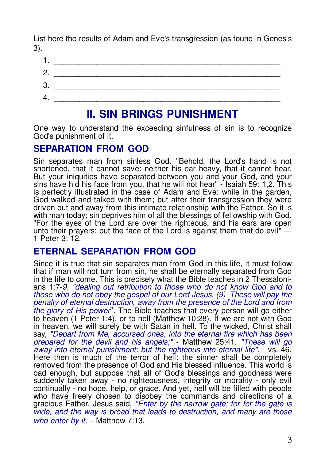List here the results of Adam and Eve's transgression (as found in Genesis  $3)$ .



### **II. SIN BRINGS PUNISHMENT**

One way to understand the exceeding sinfulness of sin is to recognize God's punishment of it.

#### **SEPARATION FROM GOD**

Sin separates man from sinless God. "Behold, the Lord's hand is not shortened, that it cannot save: neither his ear heavy, that it cannot hear. But your iniquities have separated between you and your God, and your sins have hid his face from you, that he will not hear" - Isaiah 59: 1,2. This is perfectly illustrated in the case of Adam and Eve: while in the garden, God walked and talked with them; but after their transgression they were driven out and away from this intimate relationship with the Father. So it is with man today; sin deprives him of all the blessings of fellowship with God. "For the eves of the Lord are over the righteous, and his ears are open unto their prayers: but the face of the Lord is against them that do evil" ---1 Peter  $3 \cdot 12$ 

#### **ETERNAL SEPARATION FROM GOD**

Since it is true that sin separates man from God in this life, it must follow that if man will not turn from sin, he shall be eternally separated from God in the life to come. This is precisely what the Bible teaches in 2 Thessalonians 1:7-9. "dealing out retribution to those who do not know God and to those who do not obey the gospel of our Lord Jesus. (9) These will pay the penalty of eternal destruction, away from the presence of the Lord and from the glory of His power". The Bible teaches that every person will go either to heaven (1 Peter 1:4), or to hell (Matthew 10:28). If we are not with God in heaven, we will surely be with Satan in hell. To the wicked, Christ shall say, "Depart from Me, accursed ones, into the eternal fire which has been prepared for the devil and his angels;" - Matthew 25:41. "These will go away into eternal punishment: but the righteous into eternal life". - vs. 46. Here then is much of the terror of hell: the sinner shall be completely removed from the presence of God and His blessed influence. This world is bad enough, but suppose that all of God's blessings and goodness were suddenly taken away - no righteousness, integrity or morality - only evil continually - no hope, help, or grace. And yet, hell will be filled with people who have freely chosen to disobey the commands and directions of a gracious Father. Jesus said, "Enter by the narrow gate; for for the gate is wide, and the way is broad that leads to destruction, and many are those who enter by it. - Matthew 7:13.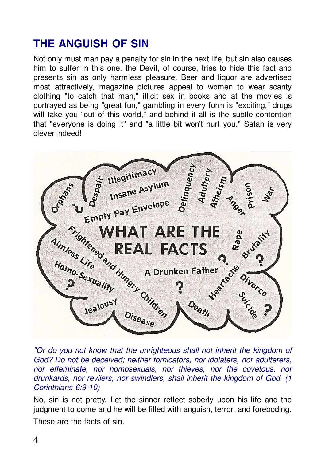### **THE ANGUISH OF SIN**

Not only must man pay a penalty for sin in the next life, but sin also causes him to suffer in this one, the Devil, of course, tries to hide this fact and presents sin as only harmless pleasure. Beer and liquor are advertised most attractively, magazine pictures appeal to women to wear scanty clothing "to catch that man," illicit sex in books and at the movies is portrayed as being "great fun," gambling in every form is "exciting," drugs will take you "out of this world," and behind it all is the subtle contention that "everyone is doing it" and "a little bit won't hurt vou." Satan is verv clever indeed!



"Or do you not know that the unrighteous shall not inherit the kingdom of God? Do not be deceived; neither fornicators, nor idolaters, nor adulterers, nor effeminate, nor homosexuals, nor thieves, nor the covetous, nor drunkards, nor revilers, nor swindlers, shall inherit the kingdom of God. (1 Corinthians 6:9-10)

No, sin is not pretty. Let the sinner reflect soberly upon his life and the judgment to come and he will be filled with anguish, terror, and foreboding.

These are the facts of sin.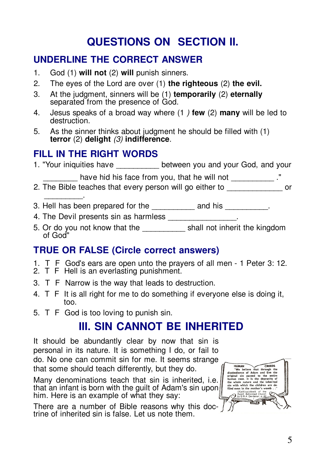# **QUESTIONS ON SECTION II.**

### **UNDERLINE THE CORRECT ANSWER**

- 1. God (1) **will not** (2) **will** punish sinners.
- 2. The eyes of the Lord are over (1) **the righteous** (2) **the evil.**
- 3. At the judgment, sinners will be (1) **temporarily** (2) **eternally** separated from the presence of God.
- 4. Jesus speaks of a broad way where (1 *)* **few** (2) **many** will be led to destruction.
- 5. As the sinner thinks about judgment he should be filled with (1) **terror** (2) **delight** *(3)* **indifference***.*

#### **FILL IN THE RIGHT WORDS**

1. "Your iniquities have between you and your God, and your

have hid his face from you, that he will not \_\_\_\_\_\_\_\_\_\_\_ ."

- 2. The Bible teaches that every person will go either to **come of the CO** or \_\_\_\_\_\_\_\_\_.
- 3. Hell has been prepared for the \_\_\_\_\_\_\_\_\_ and his \_\_\_\_\_\_\_\_\_.
- 4. The Devil presents sin as harmless \_\_\_\_\_\_\_\_\_
- 5. Or do you not know that the \_\_\_\_\_\_\_\_\_\_ shall not inherit the kingdom of God"

### **TRUE OR FALSE (Circle correct answers)**

- 1. T F God's ears are open unto the prayers of all men 1 Peter 3: 12.
- 2. T F Hell is an everlasting punishment.
- 3. T F Narrow is the way that leads to destruction.
- 4. T F It is all right for me to do something if everyone else is doing it, too.
- 5. T F God is too loving to punish sin.

### **III. SIN CANNOT BE INHERITED**

It should be abundantly clear by now that sin is personal in its nature. It is something I do, or fail to do. No one can commit sin for me. It seems strange that some should teach differently, but they do.

Many denominations teach that sin is inherited, i.e. that an infant is born with the guilt of Adam's sin upon him. Here is an example of what they say:

There are a number of Bible reasons why this doctrine of inherited sin is false. Let us note them.

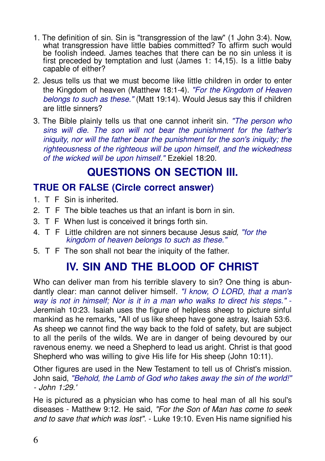- 1. The definition of sin. Sin is "transgression of the law" (1 John 3:4). Now. what transgression have little babies committed? To affirm such would<br>be foolish indeed. James teaches that there can be no sin unless it is first preceded by temptation and lust (James 1: 14,15). Is a little baby capable of either?
- 2. Jesus tells us that we must become like little children in order to enter the Kingdom of heaven (Matthew 18:1-4). "For the Kingdom of Heaven belongs to such as these." (Matt 19:14). Would Jesus say this if children are little sinners?
- 3. The Bible plainly tells us that one cannot inherit sin. "The person who sins will die. The son will not bear the punishment for the father's iniquity, nor will the father bear the punishment for the son's iniquity; the righteousness of the righteous will be upon himself, and the wickedness of the wicked will be upon himself." Ezekiel 18:20.

### **QUESTIONS ON SECTION III.**

#### **TRUE OR FALSE (Circle correct answer)**

- 1. T F Sin is inherited.
- 2 T F The bible teaches us that an infant is born in sin
- 3. T F When lust is conceived it brings forth sin.
- 4. T F Little children are not sinners because Jesus said. "for the kingdom of heaven belongs to such as these."
- 5. T F The son shall not bear the iniquity of the father.

# **IV. SIN AND THE BLOOD OF CHRIST**

Who can deliver man from his terrible slavery to sin? One thing is abundantly clear: man cannot deliver himself. "I know, O LORD, that a man's way is not in himself; Nor is it in a man who walks to direct his steps." -Jeremiah 10:23. Isaiah uses the figure of helpless sheep to picture sinful mankind as he remarks, "All of us like sheep have gone astray, Isaiah 53:6. As sheep we cannot find the way back to the fold of safety, but are subject to all the perils of the wilds. We are in danger of being devoured by our ravenous enemy, we need a Shepherd to lead us aright. Christ is that good Shepherd who was willing to give His life for His sheep (John 10:11).

Other figures are used in the New Testament to tell us of Christ's mission. John said, "Behold, the Lamb of God who takes away the sin of the world!"  $-$ . John 1:29'

He is pictured as a physician who has come to heal man of all his soul's diseases - Matthew 9:12. He said, "For the Son of Man has come to seek and to save that which was lost". - Luke 19:10. Even His name signified his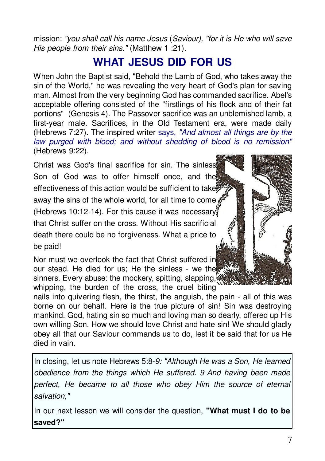mission: "vou shall call his name Jesus (Saviour). "for it is He who will save His people from their sins." (Matthew 1 :21).

# **WHAT JESUS DID FOR US**

When John the Baptist said. "Behold the Lamb of God, who takes away the sin of the World." he was revealing the very heart of God's plan for saving man. Almost from the very beginning God has commanded sacrifice. Abel's acceptable offering consisted of the "firstlings of his flock and of their fat portions" (Genesis 4). The Passover sacrifice was an unblemished lamb, a first-year male. Sacrifices, in the Old Testament era, were made daily (Hebrews 7:27). The inspired writer says, "And almost all things are by the law purged with blood; and without shedding of blood is no remission" (Hebrews 9:22).

Christ was God's final sacrifice for sin. The sinless Son of God was to offer himself once, and the effectiveness of this action would be sufficient to take away the sins of the whole world, for all time to come (Hebrews 10:12-14). For this cause it was necessary that Christ suffer on the cross. Without His sacrificial death there could be no forgiveness. What a price to be paid!

Nor must we overlook the fact that Christ suffered in our stead. He died for us; He the sinless - we the sinners. Every abuse: the mockery, spitting, slapping, whipping, the burden of the cross, the cruel biting

nails into quivering flesh, the thirst, the anguish, the pain - all of this was borne on our behalf. Here is the true picture of sin! Sin was destroying mankind. God, hating sin so much and loving man so dearly, offered up His own willing Son. How we should love Christ and hate sin! We should gladly obey all that our Saviour commands us to do. lest it be said that for us He died in vain.

In closing, let us note Hebrews 5:8-9: "Although He was a Son, He learned obedience from the things which He suffered. 9 And having been made perfect, He became to all those who obey Him the source of eternal salvation."

In our next lesson we will consider the question, "What must I do to be saved?"